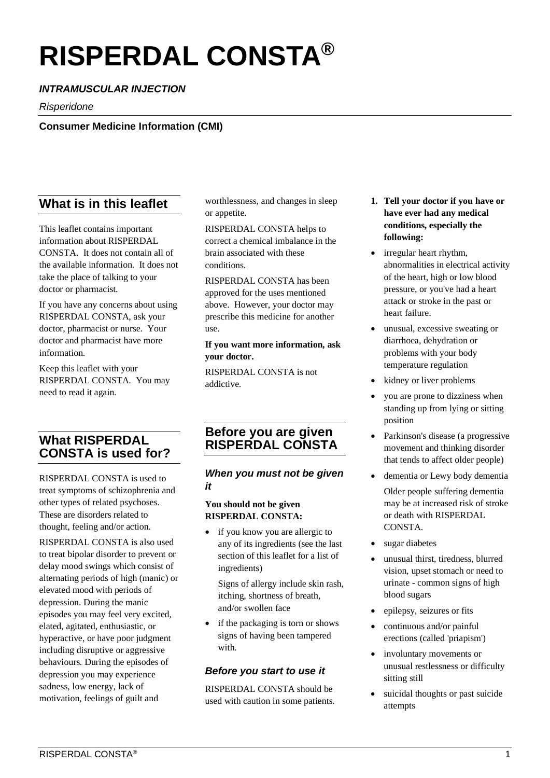# **RISPERDAL CONSTA®**

# *INTRAMUSCULAR INJECTION*

*Risperidone*

#### **Consumer Medicine Information (CMI)**

# **What is in this leaflet**

This leaflet contains important information about RISPERDAL CONSTA. It does not contain all of the available information. It does not take the place of talking to your doctor or pharmacist.

If you have any concerns about using RISPERDAL CONSTA, ask your doctor, pharmacist or nurse. Your doctor and pharmacist have more information.

Keep this leaflet with your RISPERDAL CONSTA. You may need to read it again.

# **What RISPERDAL CONSTA is used for?**

RISPERDAL CONSTA is used to treat symptoms of schizophrenia and other types of related psychoses. These are disorders related to thought, feeling and/or action.

RISPERDAL CONSTA is also used to treat bipolar disorder to prevent or delay mood swings which consist of alternating periods of high (manic) or elevated mood with periods of depression. During the manic episodes you may feel very excited, elated, agitated, enthusiastic, or hyperactive, or have poor judgment including disruptive or aggressive behaviours. During the episodes of depression you may experience sadness, low energy, lack of motivation, feelings of guilt and

worthlessness, and changes in sleep or appetite.

RISPERDAL CONSTA helps to correct a chemical imbalance in the brain associated with these conditions.

RISPERDAL CONSTA has been approved for the uses mentioned above. However, your doctor may prescribe this medicine for another use.

#### **If you want more information, ask your doctor.**

RISPERDAL CONSTA is not addictive.

# **Before you are given RISPERDAL CONSTA**

#### *When you must not be given it*

#### **You should not be given RISPERDAL CONSTA:**

• if you know you are allergic to any of its ingredients (see the last section of this leaflet for a list of ingredients)

Signs of allergy include skin rash, itching, shortness of breath, and/or swollen face

if the packaging is torn or shows signs of having been tampered with.

#### *Before you start to use it*

RISPERDAL CONSTA should be used with caution in some patients.

- **1. Tell your doctor if you have or have ever had any medical conditions, especially the following:**
- irregular heart rhythm, abnormalities in electrical activity of the heart, high or low blood pressure, or you've had a heart attack or stroke in the past or heart failure.
- unusual, excessive sweating or diarrhoea, dehydration or problems with your body temperature regulation
- kidney or liver problems
- you are prone to dizziness when standing up from lying or sitting position
- Parkinson's disease (a progressive movement and thinking disorder that tends to affect older people)
- dementia or Lewy body dementia
	- Older people suffering dementia may be at increased risk of stroke or death with RISPERDAL CONSTA.
- sugar diabetes
- unusual thirst, tiredness, blurred vision, upset stomach or need to urinate - common signs of high blood sugars
- epilepsy, seizures or fits
- continuous and/or painful erections (called 'priapism')
- involuntary movements or unusual restlessness or difficulty sitting still
- suicidal thoughts or past suicide attempts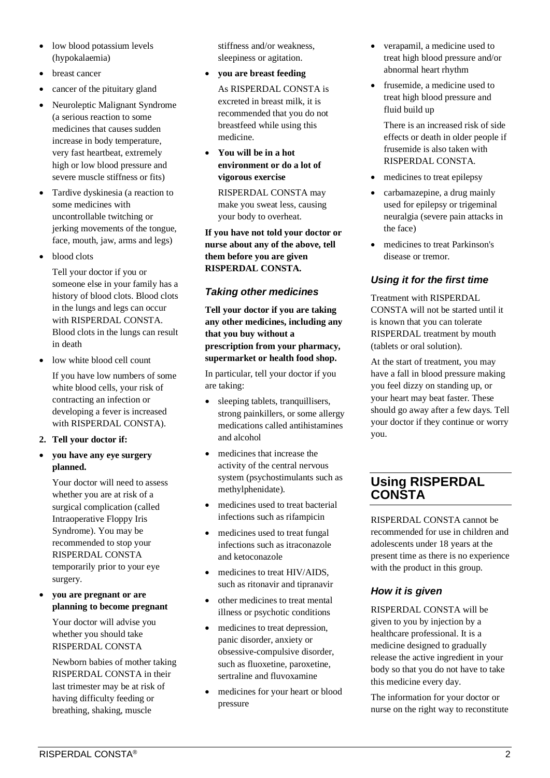- low blood potassium levels (hypokalaemia)
- breast cancer
- cancer of the pituitary gland
- Neuroleptic Malignant Syndrome (a serious reaction to some medicines that causes sudden increase in body temperature, very fast heartbeat, extremely high or low blood pressure and severe muscle stiffness or fits)
- Tardive dyskinesia (a reaction to some medicines with uncontrollable twitching or jerking movements of the tongue, face, mouth, jaw, arms and legs)
- blood clots

Tell your doctor if you or someone else in your family has a history of blood clots. Blood clots in the lungs and legs can occur with RISPERDAL CONSTA. Blood clots in the lungs can result in death

• low white blood cell count

If you have low numbers of some white blood cells, your risk of contracting an infection or developing a fever is increased with RISPERDAL CONSTA).

#### **2. Tell your doctor if:**

• **you have any eye surgery planned.**

Your doctor will need to assess whether you are at risk of a surgical complication (called Intraoperative Floppy Iris Syndrome). You may be recommended to stop your RISPERDAL CONSTA temporarily prior to your eye surgery.

• **you are pregnant or are planning to become pregnant**

Your doctor will advise you whether you should take RISPERDAL CONSTA

Newborn babies of mother taking RISPERDAL CONSTA in their last trimester may be at risk of having difficulty feeding or breathing, shaking, muscle

stiffness and/or weakness, sleepiness or agitation.

• **you are breast feeding**

As RISPERDAL CONSTA is excreted in breast milk, it is recommended that you do not breastfeed while using this medicine.

• **You will be in a hot environment or do a lot of vigorous exercise**

RISPERDAL CONSTA may make you sweat less, causing your body to overheat.

**If you have not told your doctor or nurse about any of the above, tell them before you are given RISPERDAL CONSTA.** 

#### *Taking other medicines*

**Tell your doctor if you are taking any other medicines, including any that you buy without a prescription from your pharmacy, supermarket or health food shop.** 

In particular, tell your doctor if you are taking:

- sleeping tablets, tranquillisers, strong painkillers, or some allergy medications called antihistamines and alcohol
- medicines that increase the activity of the central nervous system (psychostimulants such as methylphenidate).
- medicines used to treat bacterial infections such as rifampicin
- medicines used to treat fungal infections such as itraconazole and ketoconazole
- medicines to treat HIV/AIDS. such as ritonavir and tipranavir
- other medicines to treat mental illness or psychotic conditions
- medicines to treat depression, panic disorder, anxiety or obsessive-compulsive disorder, such as fluoxetine, paroxetine, sertraline and fluvoxamine
- medicines for your heart or blood pressure
- verapamil, a medicine used to treat high blood pressure and/or abnormal heart rhythm
- frusemide, a medicine used to treat high blood pressure and fluid build up

There is an increased risk of side effects or death in older people if frusemide is also taken with RISPERDAL CONSTA.

- medicines to treat epilepsy
- carbamazepine, a drug mainly used for epilepsy or trigeminal neuralgia (severe pain attacks in the face)
- medicines to treat Parkinson's disease or tremor.

## *Using it for the first time*

Treatment with RISPERDAL CONSTA will not be started until it is known that you can tolerate RISPERDAL treatment by mouth (tablets or oral solution).

At the start of treatment, you may have a fall in blood pressure making you feel dizzy on standing up, or your heart may beat faster. These should go away after a few days. Tell your doctor if they continue or worry you.

# **Using RISPERDAL CONSTA**

RISPERDAL CONSTA cannot be recommended for use in children and adolescents under 18 years at the present time as there is no experience with the product in this group.

# *How it is given*

RISPERDAL CONSTA will be given to you by injection by a healthcare professional. It is a medicine designed to gradually release the active ingredient in your body so that you do not have to take this medicine every day.

The information for your doctor or nurse on the right way to reconstitute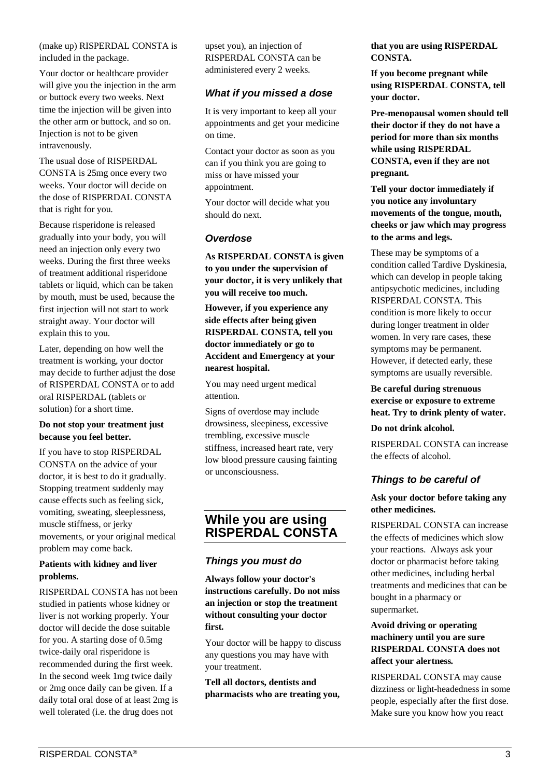(make up) RISPERDAL CONSTA is included in the package.

Your doctor or healthcare provider will give you the injection in the arm or buttock every two weeks. Next time the injection will be given into the other arm or buttock, and so on. Injection is not to be given intravenously.

The usual dose of RISPERDAL CONSTA is 25mg once every two weeks. Your doctor will decide on the dose of RISPERDAL CONSTA that is right for you.

Because risperidone is released gradually into your body, you will need an injection only every two weeks. During the first three weeks of treatment additional risperidone tablets or liquid, which can be taken by mouth, must be used, because the first injection will not start to work straight away. Your doctor will explain this to you.

Later, depending on how well the treatment is working, your doctor may decide to further adjust the dose of RISPERDAL CONSTA or to add oral RISPERDAL (tablets or solution) for a short time.

#### **Do not stop your treatment just because you feel better.**

If you have to stop RISPERDAL CONSTA on the advice of your doctor, it is best to do it gradually. Stopping treatment suddenly may cause effects such as feeling sick, vomiting, sweating, sleeplessness, muscle stiffness, or jerky movements, or your original medical problem may come back.

#### **Patients with kidney and liver problems.**

RISPERDAL CONSTA has not been studied in patients whose kidney or liver is not working properly. Your doctor will decide the dose suitable for you. A starting dose of 0.5mg twice-daily oral risperidone is recommended during the first week. In the second week 1mg twice daily or 2mg once daily can be given. If a daily total oral dose of at least 2mg is well tolerated (i.e. the drug does not

upset you), an injection of RISPERDAL CONSTA can be administered every 2 weeks.

#### *What if you missed a dose*

It is very important to keep all your appointments and get your medicine on time.

Contact your doctor as soon as you can if you think you are going to miss or have missed your appointment.

Your doctor will decide what you should do next.

#### *Overdose*

**As RISPERDAL CONSTA is given to you under the supervision of your doctor, it is very unlikely that you will receive too much.**

**However, if you experience any side effects after being given RISPERDAL CONSTA, tell you doctor immediately or go to Accident and Emergency at your nearest hospital.**

You may need urgent medical attention.

Signs of overdose may include drowsiness, sleepiness, excessive trembling, excessive muscle stiffness, increased heart rate, very low blood pressure causing fainting or unconsciousness.

### **While you are using RISPERDAL CONSTA**

#### *Things you must do*

**Always follow your doctor's instructions carefully. Do not miss an injection or stop the treatment without consulting your doctor first.**

Your doctor will be happy to discuss any questions you may have with your treatment.

**Tell all doctors, dentists and pharmacists who are treating you,**  **that you are using RISPERDAL CONSTA.**

**If you become pregnant while using RISPERDAL CONSTA, tell your doctor.**

**Pre-menopausal women should tell their doctor if they do not have a period for more than six months while using RISPERDAL CONSTA, even if they are not pregnant.**

**Tell your doctor immediately if you notice any involuntary movements of the tongue, mouth, cheeks or jaw which may progress to the arms and legs.** 

These may be symptoms of a condition called Tardive Dyskinesia, which can develop in people taking antipsychotic medicines, including RISPERDAL CONSTA. This condition is more likely to occur during longer treatment in older women. In very rare cases, these symptoms may be permanent. However, if detected early, these symptoms are usually reversible.

**Be careful during strenuous exercise or exposure to extreme heat. Try to drink plenty of water.** 

#### **Do not drink alcohol.**

RISPERDAL CONSTA can increase the effects of alcohol.

#### *Things to be careful of*

#### **Ask your doctor before taking any other medicines.**

RISPERDAL CONSTA can increase the effects of medicines which slow your reactions. Always ask your doctor or pharmacist before taking other medicines, including herbal treatments and medicines that can be bought in a pharmacy or supermarket.

#### **Avoid driving or operating machinery until you are sure RISPERDAL CONSTA does not affect your alertness.**

RISPERDAL CONSTA may cause dizziness or light-headedness in some people, especially after the first dose. Make sure you know how you react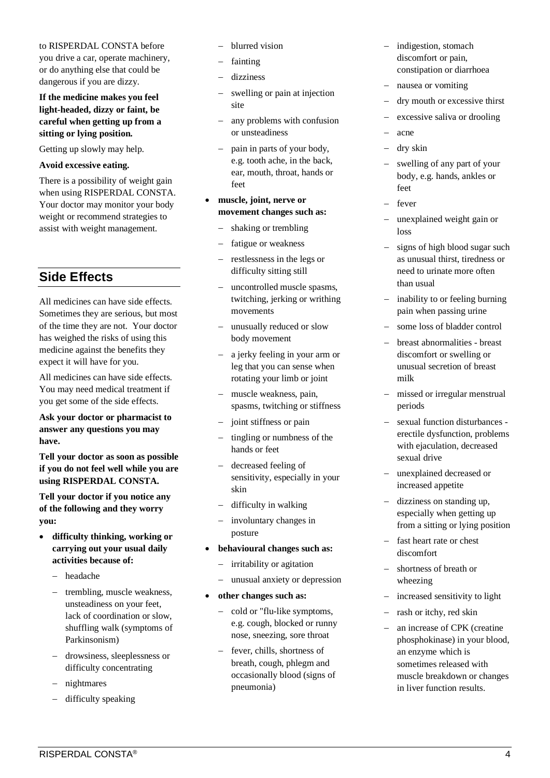#### to RISPERDAL CONSTA before

you drive a car, operate machinery, or do anything else that could be dangerous if you are dizzy.

#### **If the medicine makes you feel light-headed, dizzy or faint, be careful when getting up from a sitting or lying position.**

Getting up slowly may help.

#### **Avoid excessive eating.**

There is a possibility of weight gain when using RISPERDAL CONSTA. Your doctor may monitor your body weight or recommend strategies to assist with weight management.

# **Side Effects**

All medicines can have side effects. Sometimes they are serious, but most of the time they are not. Your doctor has weighed the risks of using this medicine against the benefits they expect it will have for you.

All medicines can have side effects. You may need medical treatment if you get some of the side effects.

**Ask your doctor or pharmacist to answer any questions you may have.**

**Tell your doctor as soon as possible if you do not feel well while you are using RISPERDAL CONSTA.**

**Tell your doctor if you notice any of the following and they worry you:**

- **difficulty thinking, working or carrying out your usual daily activities because of:** 
	- − headache
	- trembling, muscle weakness, unsteadiness on your feet, lack of coordination or slow, shuffling walk (symptoms of Parkinsonism)
	- − drowsiness, sleeplessness or difficulty concentrating
	- nightmares
	- difficulty speaking
- − blurred vision
- fainting
- dizziness
- swelling or pain at injection site
- − any problems with confusion or unsteadiness
- − pain in parts of your body, e.g. tooth ache, in the back, ear, mouth, throat, hands or feet
- **muscle, joint, nerve or movement changes such as:** 
	- shaking or trembling
	- fatigue or weakness
	- − restlessness in the legs or difficulty sitting still
	- − uncontrolled muscle spasms, twitching, jerking or writhing movements
	- − unusually reduced or slow body movement
	- − a jerky feeling in your arm or leg that you can sense when rotating your limb or joint
	- muscle weakness, pain, spasms, twitching or stiffness
	- − joint stiffness or pain
	- tingling or numbness of the hands or feet
	- − decreased feeling of sensitivity, especially in your skin
	- − difficulty in walking
	- − involuntary changes in posture
- **behavioural changes such as:** 
	- − irritability or agitation
	- unusual anxiety or depression
- **other changes such as:** 
	- − cold or "flu-like symptoms, e.g. cough, blocked or runny nose, sneezing, sore throat
	- − fever, chills, shortness of breath, cough, phlegm and occasionally blood (signs of pneumonia)
- − indigestion, stomach discomfort or pain, constipation or diarrhoea
- − nausea or vomiting
- dry mouth or excessive thirst
- excessive saliva or drooling
- − acne
- − dry skin
- swelling of any part of your body, e.g. hands, ankles or feet
- fever
- unexplained weight gain or loss
- − signs of high blood sugar such as unusual thirst, tiredness or need to urinate more often than usual
- − inability to or feeling burning pain when passing urine
- − some loss of bladder control
- − breast abnormalities breast discomfort or swelling or unusual secretion of breast milk
- missed or irregular menstrual periods
- − sexual function disturbances erectile dysfunction, problems with ejaculation, decreased sexual drive
- unexplained decreased or increased appetite
- − dizziness on standing up, especially when getting up from a sitting or lying position
- − fast heart rate or chest discomfort
- − shortness of breath or wheezing
- − increased sensitivity to light
- rash or itchy, red skin
- an increase of CPK (creatine phosphokinase) in your blood, an enzyme which is sometimes released with muscle breakdown or changes in liver function results.